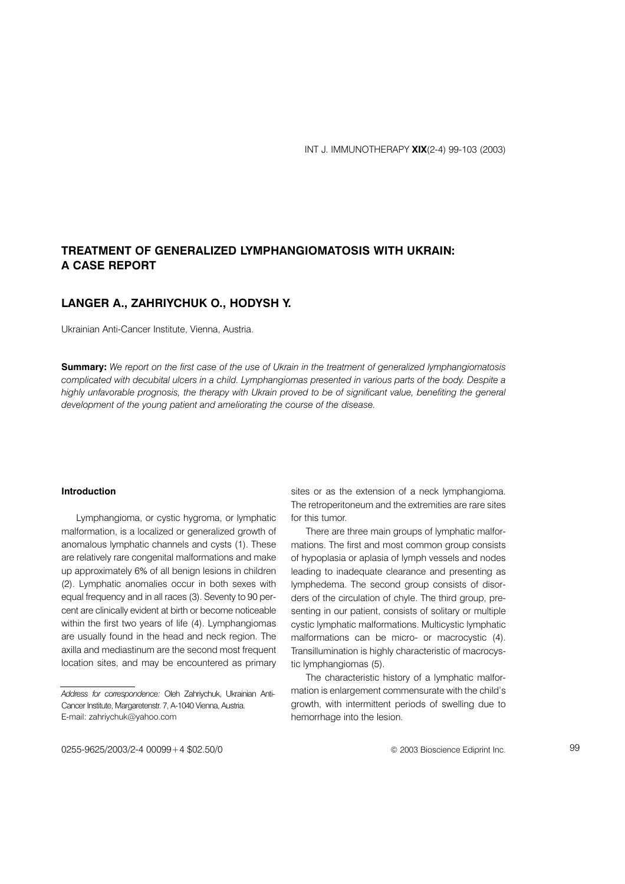# **TREATMENT OF GENERALIZED LYMPHANGIOMATOSIS WITH UKRAIN: A CASE REPORT**

## LANGER A., ZAHRIYCHUK O., HODYSH Y.

Ukrainian Anti-Cancer Institute, Vienna, Austria.

**Summary:** We report on the first case of the use of Ukrain in the treatment of generalized lymphangiomatosis complicated with decubital ulcers in a child. Lymphangiomas presented in various parts of the body. Despite a highly unfavorable prognosis, the therapy with Ukrain proved to be of significant value, benefiting the general development of the young patient and ameliorating the course of the disease.

#### **Introduction**

Lymphangioma, or cystic hygroma, or lymphatic malformation, is a localized or generalized growth of anomalous lymphatic channels and cysts (1). These are relatively rare congenital malformations and make up approximately 6% of all benign lesions in children (2). Lymphatic anomalies occur in both sexes with equal frequency and in all races (3). Seventy to 90 percent are clinically evident at birth or become noticeable within the first two years of life (4). Lymphangiomas are usually found in the head and neck region. The axilla and mediastinum are the second most frequent location sites, and may be encountered as primary

sites or as the extension of a neck lymphangioma. The retroperitoneum and the extremities are rare sites for this tumor.

There are three main groups of lymphatic malformations. The first and most common group consists of hypoplasia or aplasia of lymph vessels and nodes leading to inadequate clearance and presenting as lymphedema. The second group consists of disorders of the circulation of chyle. The third group, presenting in our patient, consists of solitary or multiple cystic lymphatic malformations. Multicystic lymphatic malformations can be micro- or macrocystic (4). Transillumination is highly characteristic of macrocystic lymphangiomas (5).

The characteristic history of a lymphatic malformation is enlargement commensurate with the child's growth, with intermittent periods of swelling due to hemorrhage into the lesion.

Address for correspondence: Oleh Zahriychuk, Ukrainian Anti-Cancer Institute, Margaretenstr. 7, A-1040 Vienna, Austria. E-mail: zahriychuk@yahoo.com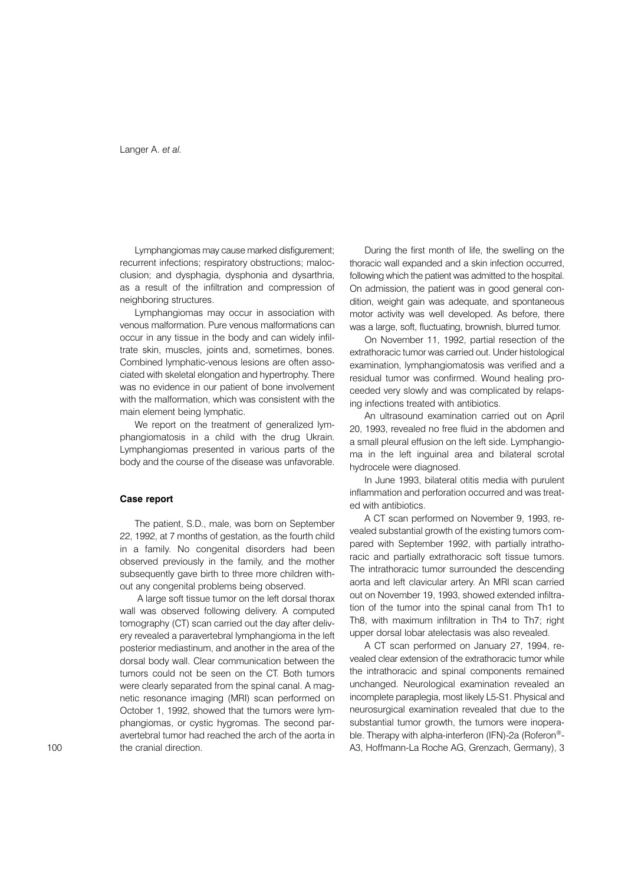Lymphangiomas may cause marked disfigurement: recurrent infections; respiratory obstructions; malocclusion; and dysphagia, dysphonia and dysarthria, as a result of the infiltration and compression of neighboring structures.

Lymphangiomas may occur in association with venous malformation. Pure venous malformations can occur in any tissue in the body and can widely infiltrate skin, muscles, joints and, sometimes, bones. Combined lymphatic-venous lesions are often associated with skeletal elongation and hypertrophy. There was no evidence in our patient of bone involvement with the malformation, which was consistent with the main element being lymphatic.

We report on the treatment of generalized lymphangiomatosis in a child with the drug Ukrain. Lymphangiomas presented in various parts of the body and the course of the disease was unfavorable.

#### Case report

The patient, S.D., male, was born on September 22, 1992, at 7 months of gestation, as the fourth child in a family. No congenital disorders had been observed previously in the family, and the mother subsequently gave birth to three more children without any congenital problems being observed.

A large soft tissue tumor on the left dorsal thorax wall was observed following delivery. A computed tomography (CT) scan carried out the day after delivery revealed a paravertebral lymphangioma in the left posterior mediastinum, and another in the area of the dorsal body wall. Clear communication between the tumors could not be seen on the CT. Both tumors were clearly separated from the spinal canal. A magnetic resonance imaging (MRI) scan performed on October 1, 1992, showed that the tumors were lymphangiomas, or cystic hygromas. The second paravertebral tumor had reached the arch of the aorta in the cranial direction.

During the first month of life, the swelling on the thoracic wall expanded and a skin infection occurred, following which the patient was admitted to the hospital. On admission, the patient was in good general condition, weight gain was adequate, and spontaneous motor activity was well developed. As before, there was a large, soft, fluctuating, brownish, blurred tumor.

On November 11, 1992, partial resection of the extrathoracic tumor was carried out. Under histological examination, lymphangiomatosis was verified and a residual tumor was confirmed. Wound healing proceeded very slowly and was complicated by relapsing infections treated with antibiotics.

An ultrasound examination carried out on April 20, 1993, revealed no free fluid in the abdomen and a small pleural effusion on the left side. Lymphangioma in the left inguinal area and bilateral scrotal hydrocele were diagnosed.

In June 1993, bilateral otitis media with purulent inflammation and perforation occurred and was treated with antibiotics.

A CT scan performed on November 9, 1993, revealed substantial growth of the existing tumors compared with September 1992, with partially intrathoracic and partially extrathoracic soft tissue tumors. The intrathoracic tumor surrounded the descending aorta and left clavicular artery. An MRI scan carried out on November 19, 1993, showed extended infiltration of the tumor into the spinal canal from Th1 to Th8, with maximum infiltration in Th4 to Th7; right upper dorsal lobar atelectasis was also revealed.

A CT scan performed on January 27, 1994, revealed clear extension of the extrathoracic tumor while the intrathoracic and spinal components remained unchanged. Neurological examination revealed an incomplete paraplegia, most likely L5-S1. Physical and neurosurgical examination revealed that due to the substantial tumor growth, the tumors were inoperable. Therapy with alpha-interferon (IFN)-2a (Roferon®-A3, Hoffmann-La Roche AG, Grenzach, Germany), 3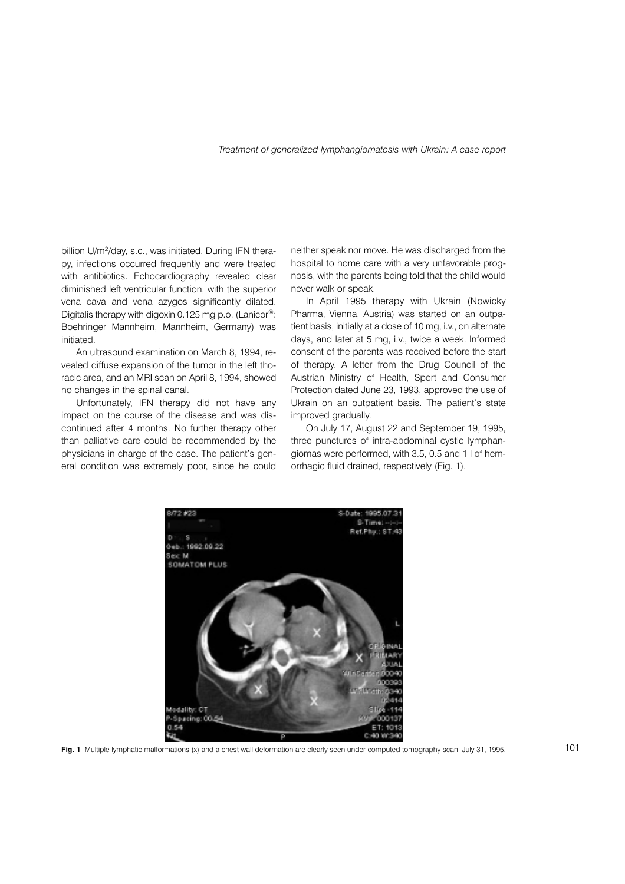#### Treatment of generalized lymphangiomatosis with Ukrain: A case report

billion U/m<sup>2</sup>/day, s.c., was initiated. During IFN therapy, infections occurred frequently and were treated with antibiotics. Echocardiography revealed clear diminished left ventricular function, with the superior vena cava and vena azygos significantly dilated. Digitalis therapy with digoxin 0.125 mg p.o. (Lanicor®: Boehringer Mannheim, Mannheim, Germany) was initiated.

An ultrasound examination on March 8, 1994, revealed diffuse expansion of the tumor in the left thoracic area, and an MRI scan on April 8, 1994, showed no changes in the spinal canal.

Unfortunately, IFN therapy did not have any impact on the course of the disease and was discontinued after 4 months. No further therapy other than palliative care could be recommended by the physicians in charge of the case. The patient's general condition was extremely poor, since he could neither speak nor move. He was discharged from the hospital to home care with a very unfavorable prognosis, with the parents being told that the child would never walk or speak.

In April 1995 therapy with Ukrain (Nowicky Pharma, Vienna, Austria) was started on an outpatient basis, initially at a dose of 10 mg, i.v., on alternate days, and later at 5 mg, i.v., twice a week. Informed consent of the parents was received before the start of therapy. A letter from the Drug Council of the Austrian Ministry of Health, Sport and Consumer Protection dated June 23, 1993, approved the use of Ukrain on an outpatient basis. The patient's state improved gradually.

On July 17, August 22 and September 19, 1995, three punctures of intra-abdominal cystic lymphangiomas were performed, with 3.5, 0.5 and 1 l of hemorrhagic fluid drained, respectively (Fig. 1).



Fig. 1 Multiple lymphatic malformations (x) and a chest wall deformation are clearly seen under computed tomography scan, July 31, 1995.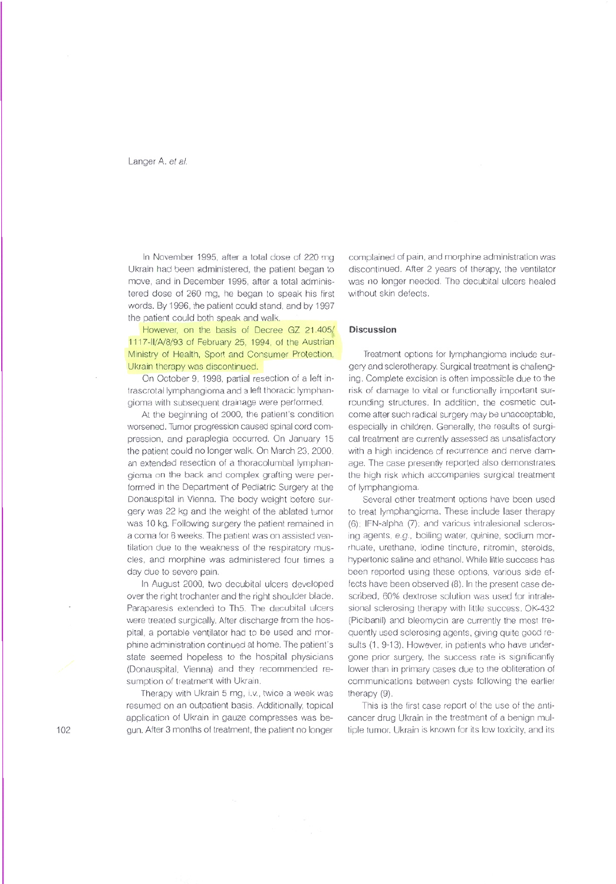In November 1995, after a total dose of 220 mg Ukrain had been administered, the patient began to move, and in December 1995, after a total administered dose of 260 mg, he began to speak his first words. By 1996, the patient could stand, and by 1997 the patient could both speak and walk.

However, on the basis of Decree GZ 21.405/ 1117-II/A/8/93 of February 25, 1994, of the Austrian Ministry of Health, Sport and Consumer Protection, Ukrain therapy was discontinued.

On October 9, 1998, partial resection of a left intrascrotal lymphangioma and a left thoracic lymphangioma with subsequent drainage were performed.

At the beginning of 2000, the patient's condition worsened. Tumor progression caused spinal cord compression, and paraplegia occurred. On January 15 the patient could no longer walk. On March 23, 2000, an extended resection of a thoracolumbal lymphangioma on the back and complex grafting were performed in the Department of Pediatric Surgery at the Donauspital in Vienna. The body weight before surgery was 22 kg and the weight of the ablated tumor was 10 kg. Following surgery the patient remained in a coma for 6 weeks. The patient was on assisted ventilation due to the weakness of the respiratory muscles, and morphine was administered four times a day due to severe pain.

In August 2000, two decubital ulcers developed over the right trochanter and the right shoulder blade. Paraparesis extended to Th5. The decubital ulcers were treated surgically. After discharge from the hospital, a portable ventilator had to be used and morphine administration continued at home. The patient's state seemed hopeless to the hospital physicians (Donauspital, Vienna) and they recommended resumption of treatment with Ukrain.

Therapy with Ukrain 5 mg, i.v., twice a week was resumed on an outpatient basis. Additionally, topical application of Ukrain in gauze compresses was begun. After 3 months of treatment, the patient no longer

complained of pain, and morphine administration was discontinued. After 2 years of therapy, the ventilator was no longer needed. The decubital ulcers healed without skin defects.

### Discussion

Treatment options for lymphangioma include surgery and sclerotherapy. Surgical treatment is challenging. Complete excision is often impossible due to the risk of damage to vital or functionally important surrounding structures. In addition, the cosmetic outcome after such radical surgery may be unacceptable, especially in children. Generally, the results of surgical treatment are currently assessed as unsatisfactory with a high incidence of recurrence and nerve damage. The case presently reported also demonstrates the high risk which accompanies surgical treatment of lymphangioma.

Several other treatment options have been used to treat lymphangioma. These include laser therapy (6); IFN-alpha (7); and various intralesional sclerosing agents, e.g., boiling water, quinine, sodium morrhuate, urethane, iodine tincture, nitromin, steroids, hypertonic saline and ethanol. While little success has been reported using these options, various side effects have been observed (8). In the present case described, 60% dextrose solution was used for intralesional sclerosing therapy with little success. OK-432 (Picibanil) and bleomycin are currently the most frequently used sclerosing agents, giving quite good results (1, 9-13). However, in patients who have undergone prior surgery, the success rate is significantly lower than in primary cases due to the obliteration of communications between cysts following the earlier therapy (9).

This is the first case report of the use of the anticancer drug Ukrain in the treatment of a benign multiple tumor. Ukrain is known for its low toxicity, and its

 $102$